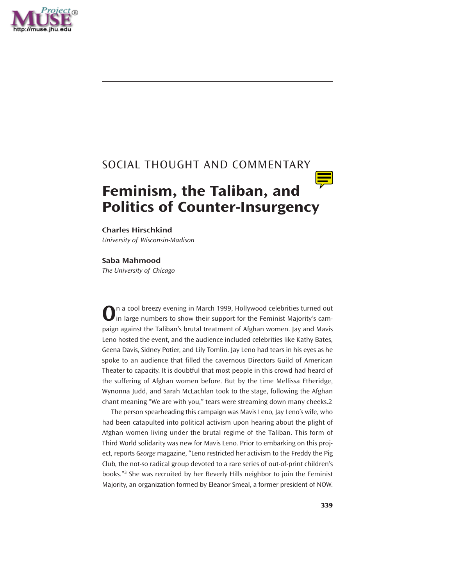

# SOCIAL THOUGHT AND COMMENTARY Feminism, the Taliban, and Politics of Counter-Insurgency

Charles Hirschkind

University of Wisconsin-Madison

Saba Mahmood

The University of Chicago

**O**n a cool breezy evening in March 1999, Hollywood celebrities turned out in large numbers to show their support for the Feminist Majority's campaign against the Taliban's brutal treatment of Afghan women. Jay and Mavis Leno hosted the event, and the audience included celebrities like Kathy Bates, Geena Davis, Sidney Potier, and Lily Tomlin. Jay Leno had tears in his eyes as he spoke to an audience that filled the cavernous Directors Guild of American Theater to capacity. It is doubtful that most people in this crowd had heard of the suffering of Afghan women before. But by the time Mellissa Etheridge, Wynonna Judd, and Sarah McLachlan took to the stage, following the Afghan chant meaning "We are with you," tears were streaming down many cheeks.2

The person spearheading this campaign was Mavis Leno, Jay Leno's wife, who had been catapulted into political activism upon hearing about the plight of Afghan women living under the brutal regime of the Taliban. This form of Third World solidarity was new for Mavis Leno. Prior to embarking on this project, reports George magazine, "Leno restricted her activism to the Freddy the Pig Club, the not-so radical group devoted to a rare series of out-of-print children's books."3 She was recruited by her Beverly Hills neighbor to join the Feminist Majority, an organization formed by Eleanor Smeal, a former president of NOW.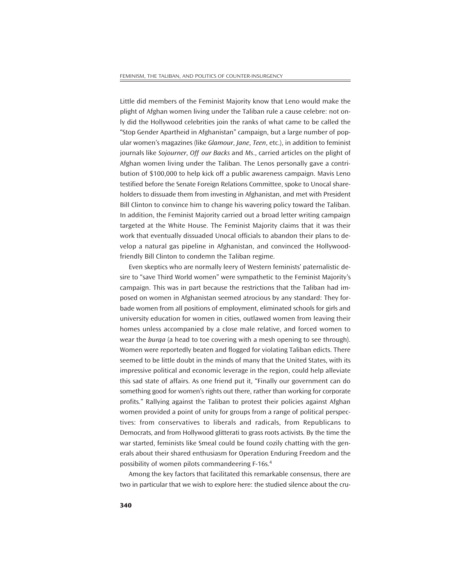Little did members of the Feminist Majority know that Leno would make the plight of Afghan women living under the Taliban rule a cause celebre: not only did the Hollywood celebrities join the ranks of what came to be called the "Stop Gender Apartheid in Afghanistan" campaign, but a large number of popular women's magazines (like Glamour, Jane, Teen, etc.), in addition to feminist journals like Sojourner, Off our Backs and Ms., carried articles on the plight of Afghan women living under the Taliban. The Lenos personally gave a contribution of \$100,000 to help kick off a public awareness campaign. Mavis Leno testified before the Senate Foreign Relations Committee, spoke to Unocal shareholders to dissuade them from investing in Afghanistan, and met with President Bill Clinton to convince him to change his wavering policy toward the Taliban. In addition, the Feminist Majority carried out a broad letter writing campaign targeted at the White House. The Feminist Majority claims that it was their work that eventually dissuaded Unocal officials to abandon their plans to develop a natural gas pipeline in Afghanistan, and convinced the Hollywoodfriendly Bill Clinton to condemn the Taliban regime.

Even skeptics who are normally leery of Western feminists' paternalistic desire to "save Third World women" were sympathetic to the Feminist Majority's campaign. This was in part because the restrictions that the Taliban had imposed on women in Afghanistan seemed atrocious by any standard: They forbade women from all positions of employment, eliminated schools for girls and university education for women in cities, outlawed women from leaving their homes unless accompanied by a close male relative, and forced women to wear the burqa (a head to toe covering with a mesh opening to see through). Women were reportedly beaten and flogged for violating Taliban edicts. There seemed to be little doubt in the minds of many that the United States, with its impressive political and economic leverage in the region, could help alleviate this sad state of affairs. As one friend put it, "Finally our government can do something good for women's rights out there, rather than working for corporate profits." Rallying against the Taliban to protest their policies against Afghan women provided a point of unity for groups from a range of political perspectives: from conservatives to liberals and radicals, from Republicans to Democrats, and from Hollywood glitterati to grass roots activists. By the time the war started, feminists like Smeal could be found cozily chatting with the generals about their shared enthusiasm for Operation Enduring Freedom and the possibility of women pilots commandeering F-16s.4

Among the key factors that facilitated this remarkable consensus, there are two in particular that we wish to explore here: the studied silence about the cru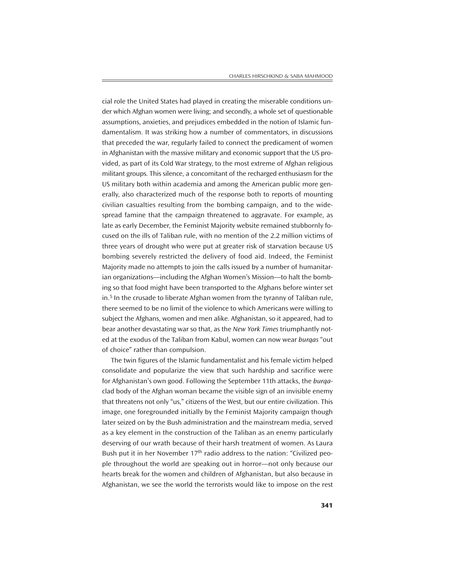cial role the United States had played in creating the miserable conditions under which Afghan women were living; and secondly, a whole set of questionable assumptions, anxieties, and prejudices embedded in the notion of Islamic fundamentalism. It was striking how a number of commentators, in discussions that preceded the war, regularly failed to connect the predicament of women in Afghanistan with the massive military and economic support that the US provided, as part of its Cold War strategy, to the most extreme of Afghan religious militant groups. This silence, a concomitant of the recharged enthusiasm for the US military both within academia and among the American public more generally, also characterized much of the response both to reports of mounting civilian casualties resulting from the bombing campaign, and to the widespread famine that the campaign threatened to aggravate. For example, as late as early December, the Feminist Majority website remained stubbornly focused on the ills of Taliban rule, with no mention of the 2.2 million victims of three years of drought who were put at greater risk of starvation because US bombing severely restricted the delivery of food aid. Indeed, the Feminist Majority made no attempts to join the calls issued by a number of humanitarian organizations—including the Afghan Women's Mission—to halt the bombing so that food might have been transported to the Afghans before winter set  $\text{in.}^5$  In the crusade to liberate Afghan women from the tyranny of Taliban rule, there seemed to be no limit of the violence to which Americans were willing to subject the Afghans, women and men alike. Afghanistan, so it appeared, had to bear another devastating war so that, as the New York Times triumphantly noted at the exodus of the Taliban from Kabul, women can now wear burqas "out of choice" rather than compulsion.

The twin figures of the Islamic fundamentalist and his female victim helped consolidate and popularize the view that such hardship and sacrifice were for Afghanistan's own good. Following the September 11th attacks, the burqaclad body of the Afghan woman became the visible sign of an invisible enemy that threatens not only "us," citizens of the West, but our entire civilization. This image, one foregrounded initially by the Feminist Majority campaign though later seized on by the Bush administration and the mainstream media, served as a key element in the construction of the Taliban as an enemy particularly deserving of our wrath because of their harsh treatment of women. As Laura Bush put it in her November  $17<sup>th</sup>$  radio address to the nation: "Civilized people throughout the world are speaking out in horror—not only because our hearts break for the women and children of Afghanistan, but also because in Afghanistan, we see the world the terrorists would like to impose on the rest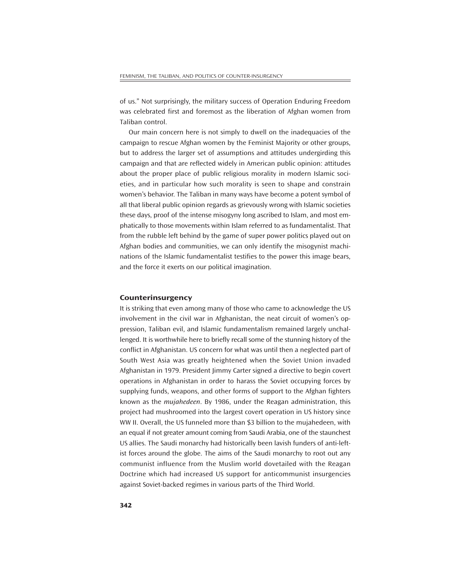of us." Not surprisingly, the military success of Operation Enduring Freedom was celebrated first and foremost as the liberation of Afghan women from Taliban control.

Our main concern here is not simply to dwell on the inadequacies of the campaign to rescue Afghan women by the Feminist Majority or other groups, but to address the larger set of assumptions and attitudes undergirding this campaign and that are reflected widely in American public opinion: attitudes about the proper place of public religious morality in modern Islamic societies, and in particular how such morality is seen to shape and constrain women's behavior. The Taliban in many ways have become a potent symbol of all that liberal public opinion regards as grievously wrong with Islamic societies these days, proof of the intense misogyny long ascribed to Islam, and most emphatically to those movements within Islam referred to as fundamentalist. That from the rubble left behind by the game of super power politics played out on Afghan bodies and communities, we can only identify the misogynist machinations of the Islamic fundamentalist testifies to the power this image bears, and the force it exerts on our political imagination.

### Counterinsurgency

It is striking that even among many of those who came to acknowledge the US involvement in the civil war in Afghanistan, the neat circuit of women's oppression, Taliban evil, and Islamic fundamentalism remained largely unchallenged. It is worthwhile here to briefly recall some of the stunning history of the conflict in Afghanistan. US concern for what was until then a neglected part of South West Asia was greatly heightened when the Soviet Union invaded Afghanistan in 1979. President Jimmy Carter signed a directive to begin covert operations in Afghanistan in order to harass the Soviet occupying forces by supplying funds, weapons, and other forms of support to the Afghan fighters known as the mujahedeen. By 1986, under the Reagan administration, this project had mushroomed into the largest covert operation in US history since WW II. Overall, the US funneled more than \$3 billion to the mujahedeen, with an equal if not greater amount coming from Saudi Arabia, one of the staunchest US allies. The Saudi monarchy had historically been lavish funders of anti-leftist forces around the globe. The aims of the Saudi monarchy to root out any communist influence from the Muslim world dovetailed with the Reagan Doctrine which had increased US support for anticommunist insurgencies against Soviet-backed regimes in various parts of the Third World.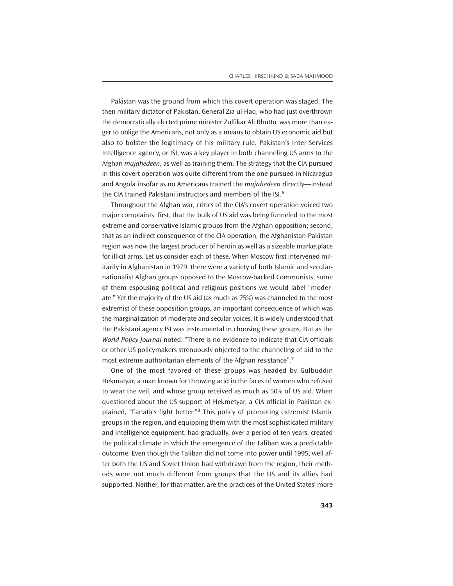Pakistan was the ground from which this covert operation was staged. The then military dictator of Pakistan, General Zia ul-Haq, who had just overthrown the democratically elected prime minister Zulfikar Ali Bhutto, was more than eager to oblige the Americans, not only as a means to obtain US economic aid but also to bolster the legitimacy of his military rule. Pakistan's Inter-Services Intelligence agency, or ISI, was a key player in both channeling US arms to the Afghan mujahedeen, as well as training them. The strategy that the CIA pursued in this covert operation was quite different from the one pursued in Nicaragua and Angola insofar as no Americans trained the mujahedeen directly—instead the CIA trained Pakistani instructors and members of the ISI.<sup>6</sup>

Throughout the Afghan war, critics of the CIA's covert operation voiced two major complaints: first, that the bulk of US aid was being funneled to the most extreme and conservative Islamic groups from the Afghan opposition; second, that as an indirect consequence of the CIA operation, the Afghanistan-Pakistan region was now the largest producer of heroin as well as a sizeable marketplace for illicit arms. Let us consider each of these. When Moscow first intervened militarily in Afghanistan in 1979, there were a variety of both Islamic and secularnationalist Afghan groups opposed to the Moscow-backed Communists, some of them espousing political and religious positions we would label "moderate." Yet the majority of the US aid (as much as 75%) was channeled to the most extremist of these opposition groups, an important consequence of which was the marginalization of moderate and secular voices. It is widely understood that the Pakistani agency ISI was instrumental in choosing these groups. But as the World Policy Journal noted, "There is no evidence to indicate that CIA officials or other US policymakers strenuously objected to the channeling of aid to the most extreme authoritarian elements of the Afghan resistance".<sup>7</sup>

One of the most favored of these groups was headed by Gulbuddin Hekmatyar, a man known for throwing acid in the faces of women who refused to wear the veil, and whose group received as much as 50% of US aid. When questioned about the US support of Hekmetyar, a CIA official in Pakistan explained, "Fanatics fight better."8 This policy of promoting extremist Islamic groups in the region, and equipping them with the most sophisticated military and intelligence equipment, had gradually, over a period of ten years, created the political climate in which the emergence of the Taliban was a predictable outcome. Even though the Taliban did not come into power until 1995, well after both the US and Soviet Union had withdrawn from the region, their methods were not much different from groups that the US and its allies had supported. Neither, for that matter, are the practices of the United States' more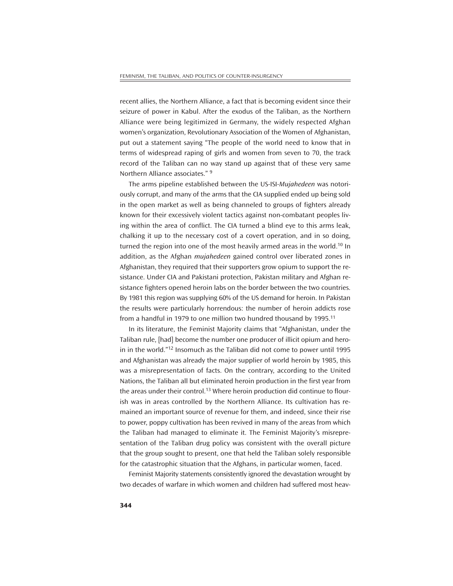recent allies, the Northern Alliance, a fact that is becoming evident since their seizure of power in Kabul. After the exodus of the Taliban, as the Northern Alliance were being legitimized in Germany, the widely respected Afghan women's organization, Revolutionary Association of the Women of Afghanistan, put out a statement saying "The people of the world need to know that in terms of widespread raping of girls and women from seven to 70, the track record of the Taliban can no way stand up against that of these very same Northern Alliance associates." 9

The arms pipeline established between the US-ISI-Mujahedeen was notoriously corrupt, and many of the arms that the CIA supplied ended up being sold in the open market as well as being channeled to groups of fighters already known for their excessively violent tactics against non-combatant peoples living within the area of conflict. The CIA turned a blind eye to this arms leak, chalking it up to the necessary cost of a covert operation, and in so doing, turned the region into one of the most heavily armed areas in the world.<sup>10</sup> In addition, as the Afghan mujahedeen gained control over liberated zones in Afghanistan, they required that their supporters grow opium to support the resistance. Under CIA and Pakistani protection, Pakistan military and Afghan resistance fighters opened heroin labs on the border between the two countries. By 1981 this region was supplying 60% of the US demand for heroin. In Pakistan the results were particularly horrendous: the number of heroin addicts rose from a handful in 1979 to one million two hundred thousand by 1995.11

In its literature, the Feminist Majority claims that "Afghanistan, under the Taliban rule, [had] become the number one producer of illicit opium and heroin in the world."12 Insomuch as the Taliban did not come to power until 1995 and Afghanistan was already the major supplier of world heroin by 1985, this was a misrepresentation of facts. On the contrary, according to the United Nations, the Taliban all but eliminated heroin production in the first year from the areas under their control.<sup>13</sup> Where heroin production did continue to flourish was in areas controlled by the Northern Alliance. Its cultivation has remained an important source of revenue for them, and indeed, since their rise to power, poppy cultivation has been revived in many of the areas from which the Taliban had managed to eliminate it. The Feminist Majority's misrepresentation of the Taliban drug policy was consistent with the overall picture that the group sought to present, one that held the Taliban solely responsible for the catastrophic situation that the Afghans, in particular women, faced.

Feminist Majority statements consistently ignored the devastation wrought by two decades of warfare in which women and children had suffered most heav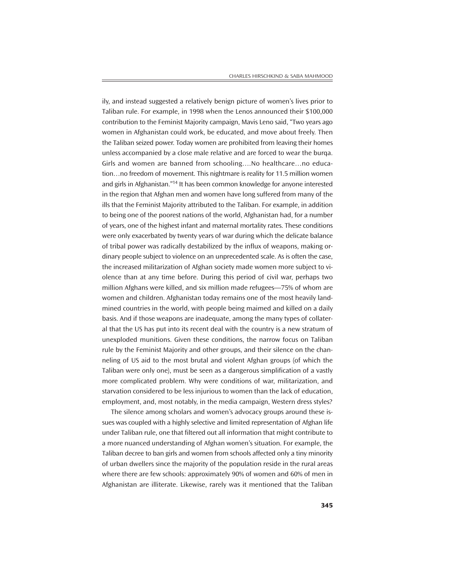ily, and instead suggested a relatively benign picture of women's lives prior to Taliban rule. For example, in 1998 when the Lenos announced their \$100,000 contribution to the Feminist Majority campaign, Mavis Leno said, "Two years ago women in Afghanistan could work, be educated, and move about freely. Then the Taliban seized power. Today women are prohibited from leaving their homes unless accompanied by a close male relative and are forced to wear the burqa. Girls and women are banned from schooling….No healthcare…no education…no freedom of movement. This nightmare is reality for 11.5 million women and girls in Afghanistan."14 It has been common knowledge for anyone interested in the region that Afghan men and women have long suffered from many of the ills that the Feminist Majority attributed to the Taliban. For example, in addition to being one of the poorest nations of the world, Afghanistan had, for a number of years, one of the highest infant and maternal mortality rates. These conditions were only exacerbated by twenty years of war during which the delicate balance of tribal power was radically destabilized by the influx of weapons, making ordinary people subject to violence on an unprecedented scale. As is often the case, the increased militarization of Afghan society made women more subject to violence than at any time before. During this period of civil war, perhaps two million Afghans were killed, and six million made refugees—75% of whom are women and children. Afghanistan today remains one of the most heavily landmined countries in the world, with people being maimed and killed on a daily basis. And if those weapons are inadequate, among the many types of collateral that the US has put into its recent deal with the country is a new stratum of unexploded munitions. Given these conditions, the narrow focus on Taliban rule by the Feminist Majority and other groups, and their silence on the channeling of US aid to the most brutal and violent Afghan groups (of which the Taliban were only one), must be seen as a dangerous simplification of a vastly more complicated problem. Why were conditions of war, militarization, and starvation considered to be less injurious to women than the lack of education, employment, and, most notably, in the media campaign, Western dress styles?

The silence among scholars and women's advocacy groups around these issues was coupled with a highly selective and limited representation of Afghan life under Taliban rule, one that filtered out all information that might contribute to a more nuanced understanding of Afghan women's situation. For example, the Taliban decree to ban girls and women from schools affected only a tiny minority of urban dwellers since the majority of the population reside in the rural areas where there are few schools: approximately 90% of women and 60% of men in Afghanistan are illiterate. Likewise, rarely was it mentioned that the Taliban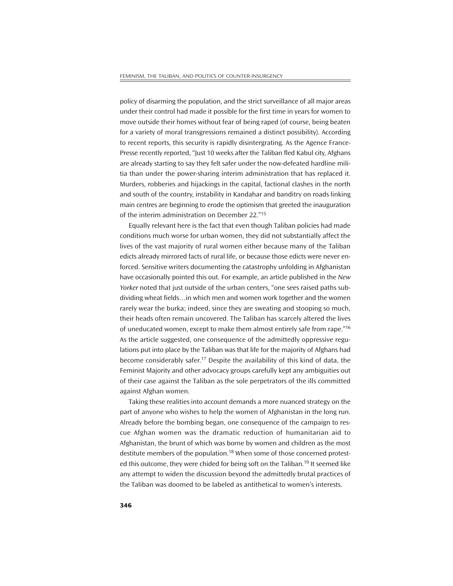policy of disarming the population, and the strict surveillance of all major areas under their control had made it possible for the first time in years for women to move outside their homes without fear of being raped (of course, being beaten for a variety of moral transgressions remained a distinct possibility). According to recent reports, this security is rapidly disintergrating. As the Agence France-Presse recently reported, "Just 10 weeks after the Taliban fled Kabul city, Afghans are already starting to say they felt safer under the now-defeated hardline militia than under the power-sharing interim administration that has replaced it. Murders, robberies and hijackings in the capital, factional clashes in the north and south of the country, instability in Kandahar and banditry on roads linking main centres are beginning to erode the optimism that greeted the inauguration of the interim administration on December 22."15

Equally relevant here is the fact that even though Taliban policies had made conditions much worse for urban women, they did not substantially affect the lives of the vast majority of rural women either because many of the Taliban edicts already mirrored facts of rural life, or because those edicts were never enforced. Sensitive writers documenting the catastrophy unfolding in Afghanistan have occasionally pointed this out. For example, an article published in the New Yorker noted that just outside of the urban centers, "one sees raised paths subdividing wheat fields…in which men and women work together and the women rarely wear the burka; indeed, since they are sweating and stooping so much, their heads often remain uncovered. The Taliban has scarcely altered the lives of uneducated women, except to make them almost entirely safe from rape."16 As the article suggested, one consequence of the admittedly oppressive regulations put into place by the Taliban was that life for the majority of Afghans had become considerably safer.17 Despite the availability of this kind of data, the Feminist Majority and other advocacy groups carefully kept any ambiguities out of their case against the Taliban as the sole perpetrators of the ills committed against Afghan women.

Taking these realities into account demands a more nuanced strategy on the part of anyone who wishes to help the women of Afghanistan in the long run. Already before the bombing began, one consequence of the campaign to rescue Afghan women was the dramatic reduction of humanitarian aid to Afghanistan, the brunt of which was borne by women and children as the most destitute members of the population.<sup>18</sup> When some of those concerned protested this outcome, they were chided for being soft on the Taliban.<sup>19</sup> It seemed like any attempt to widen the discussion beyond the admittedly brutal practices of the Taliban was doomed to be labeled as antithetical to women's interests.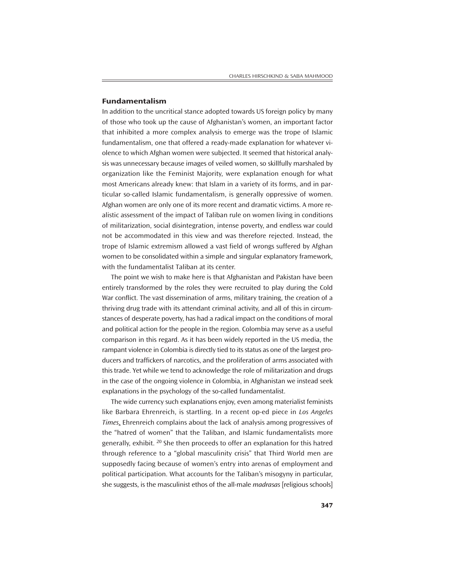# Fundamentalism

In addition to the uncritical stance adopted towards US foreign policy by many of those who took up the cause of Afghanistan's women, an important factor that inhibited a more complex analysis to emerge was the trope of Islamic fundamentalism, one that offered a ready-made explanation for whatever violence to which Afghan women were subjected. It seemed that historical analysis was unnecessary because images of veiled women, so skillfully marshaled by organization like the Feminist Majority, were explanation enough for what most Americans already knew: that Islam in a variety of its forms, and in particular so-called Islamic fundamentalism, is generally oppressive of women. Afghan women are only one of its more recent and dramatic victims. A more realistic assessment of the impact of Taliban rule on women living in conditions of militarization, social disintegration, intense poverty, and endless war could not be accommodated in this view and was therefore rejected. Instead, the trope of Islamic extremism allowed a vast field of wrongs suffered by Afghan women to be consolidated within a simple and singular explanatory framework, with the fundamentalist Taliban at its center.

The point we wish to make here is that Afghanistan and Pakistan have been entirely transformed by the roles they were recruited to play during the Cold War conflict. The vast dissemination of arms, military training, the creation of a thriving drug trade with its attendant criminal activity, and all of this in circumstances of desperate poverty, has had a radical impact on the conditions of moral and political action for the people in the region. Colombia may serve as a useful comparison in this regard. As it has been widely reported in the US media, the rampant violence in Colombia is directly tied to its status as one of the largest producers and traffickers of narcotics, and the proliferation of arms associated with this trade. Yet while we tend to acknowledge the role of militarization and drugs in the case of the ongoing violence in Colombia, in Afghanistan we instead seek explanations in the psychology of the so-called fundamentalist.

The wide currency such explanations enjoy, even among materialist feminists like Barbara Ehrenreich, is startling. In a recent op-ed piece in Los Angeles Times, Ehrenreich complains about the lack of analysis among progressives of the "hatred of women" that the Taliban, and Islamic fundamentalists more generally, exhibit. <sup>20</sup> She then proceeds to offer an explanation for this hatred through reference to a "global masculinity crisis" that Third World men are supposedly facing because of women's entry into arenas of employment and political participation. What accounts for the Taliban's misogyny in particular, she suggests, is the masculinist ethos of the all-male *madrasas* [religious schools]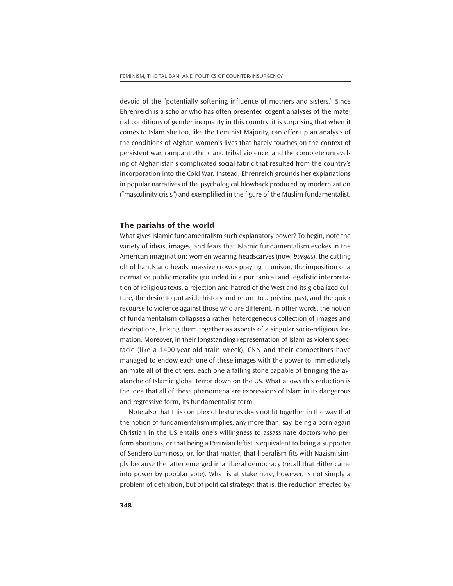devoid of the "potentially softening influence of mothers and sisters." Since Ehrenreich is a scholar who has often presented cogent analyses of the material conditions of gender inequality in this country, it is surprising that when it comes to Islam she too, like the Feminist Majority, can offer up an analysis of the conditions of Afghan women's lives that barely touches on the context of persistent war, rampant ethnic and tribal violence, and the complete unraveling of Afghanistan's complicated social fabric that resulted from the country's incorporation into the Cold War. Instead, Ehrenreich grounds her explanations in popular narratives of the psychological blowback produced by modernization ("masculinity crisis") and exemplified in the figure of the Muslim fundamentalist.

#### The pariahs of the world

What gives Islamic fundamentalism such explanatory power? To begin, note the variety of ideas, images, and fears that Islamic fundamentalism evokes in the American imagination: women wearing headscarves (now, burgas), the cutting off of hands and heads, massive crowds praying in unison, the imposition of a normative public morality grounded in a puritanical and legalistic interpretation of religious texts, a rejection and hatred of the West and its globalized culture, the desire to put aside history and return to a pristine past, and the quick recourse to violence against those who are different. In other words, the notion of fundamentalism collapses a rather heterogeneous collection of images and descriptions, linking them together as aspects of a singular socio-religious formation. Moreover, in their longstanding representation of Islam as violent spectacle (like a 1400-year-old train wreck), CNN and their competitors have managed to endow each one of these images with the power to immediately animate all of the others, each one a falling stone capable of bringing the avalanche of Islamic global terror down on the US. What allows this reduction is the idea that all of these phenomena are expressions of Islam in its dangerous and regressive form, its fundamentalist form.

Note also that this complex of features does not fit together in the way that the notion of fundamentalism implies, any more than, say, being a born-again Christian in the US entails one's willingness to assassinate doctors who perform abortions, or that being a Peruvian leftist is equivalent to being a supporter of Sendero Luminoso, or, for that matter, that liberalism fits with Nazism simply because the latter emerged in a liberal democracy (recall that Hitler came into power by popular vote). What is at stake here, however, is not simply a problem of definition, but of political strategy: that is, the reduction effected by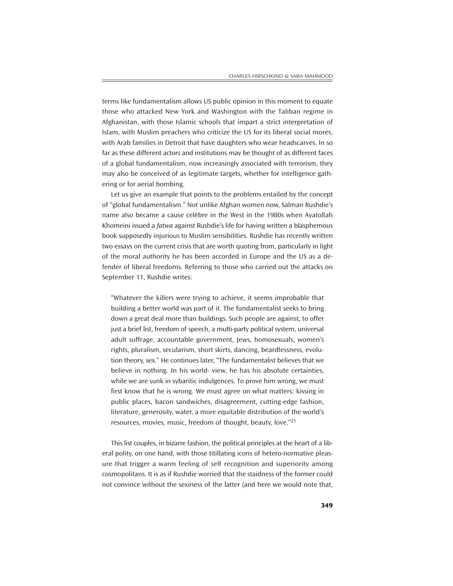terms like fundamentalism allows US public opinion in this moment to equate those who attacked New York and Washington with the Taliban regime in Afghanistan, with those Islamic schools that impart a strict interpretation of Islam, with Muslim preachers who criticize the US for its liberal social mores, with Arab families in Detroit that have daughters who wear headscarves. In so far as these different actors and institutions may be thought of as different faces of a global fundamentalism, now increasingly associated with terrorism, they may also be conceived of as legitimate targets, whether for intelligence gathering or for aerial bombing.

Let us give an example that points to the problems entailed by the concept of "global fundamentalism." Not unlike Afghan women now, Salman Rushdie's name also became a cause celèbre in the West in the 1980s when Ayatollah Khomeini issued a *fatwa* against Rushdie's life for having written a blasphemous book supposedly injurious to Muslim sensibilities. Rushdie has recently written two essays on the current crisis that are worth quoting from, particularly in light of the moral authority he has been accorded in Europe and the US as a defender of liberal freedoms. Referring to those who carried out the attacks on September 11, Rushdie writes:

"Whatever the killers were trying to achieve, it seems improbable that building a better world was part of it. The fundamentalist seeks to bring down a great deal more than buildings. Such people are against, to offer just a brief list, freedom of speech, a multi-party political system, universal adult suffrage, accountable government, Jews, homosexuals, women's rights, pluralism, secularism, short skirts, dancing, beardlessness, evolution theory, sex." He continues later, "The fundamentalist believes that we believe in nothing. In his world- view, he has his absolute certainties, while we are sunk in sybaritic indulgences. To prove him wrong, we must first know that he is wrong. We must agree on what matters: kissing in public places, bacon sandwiches, disagreement, cutting-edge fashion, literature, generosity, water, a more equitable distribution of the world's resources, movies, music, freedom of thought, beauty, love."21

This list couples, in bizarre fashion, the political principles at the heart of a liberal polity, on one hand, with those titillating icons of hetero-normative pleasure that trigger a warm feeling of self recognition and superiority among cosmopolitans. It is as if Rushdie worried that the staidness of the former could not convince without the sexiness of the latter (and here we would note that,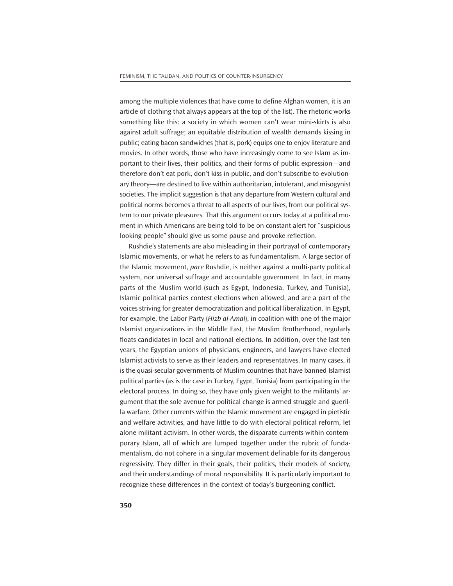among the multiple violences that have come to define Afghan women, it is an article of clothing that always appears at the top of the list). The rhetoric works something like this: a society in which women can't wear mini-skirts is also against adult suffrage; an equitable distribution of wealth demands kissing in public; eating bacon sandwiches (that is, pork) equips one to enjoy literature and movies. In other words, those who have increasingly come to see Islam as important to their lives, their politics, and their forms of public expression—and therefore don't eat pork, don't kiss in public, and don't subscribe to evolutionary theory—are destined to live within authoritarian, intolerant, and misogynist societies. The implicit suggestion is that any departure from Western cultural and political norms becomes a threat to all aspects of our lives, from our political system to our private pleasures. That this argument occurs today at a political moment in which Americans are being told to be on constant alert for "suspicious looking people" should give us some pause and provoke reflection.

Rushdie's statements are also misleading in their portrayal of contemporary Islamic movements, or what he refers to as fundamentalism. A large sector of the Islamic movement, pace Rushdie, is neither against a multi-party political system, nor universal suffrage and accountable government. In fact, in many parts of the Muslim world (such as Egypt, Indonesia, Turkey, and Tunisia), Islamic political parties contest elections when allowed, and are a part of the voices striving for greater democratization and political liberalization. In Egypt, for example, the Labor Party (Hizb al-Amal), in coalition with one of the major Islamist organizations in the Middle East, the Muslim Brotherhood, regularly floats candidates in local and national elections. In addition, over the last ten years, the Egyptian unions of physicians, engineers, and lawyers have elected Islamist activists to serve as their leaders and representatives. In many cases, it is the quasi-secular governments of Muslim countries that have banned Islamist political parties (as is the case in Turkey, Egypt, Tunisia) from participating in the electoral process. In doing so, they have only given weight to the militants' argument that the sole avenue for political change is armed struggle and guerilla warfare. Other currents within the Islamic movement are engaged in pietistic and welfare activities, and have little to do with electoral political reform, let alone militant activism. In other words, the disparate currents within contemporary Islam, all of which are lumped together under the rubric of fundamentalism, do not cohere in a singular movement definable for its dangerous regressivity. They differ in their goals, their politics, their models of society, and their understandings of moral responsibility. It is particularly important to recognize these differences in the context of today's burgeoning conflict.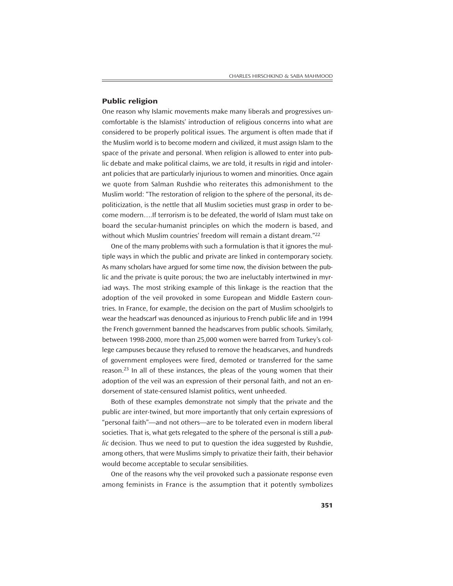# Public religion

One reason why Islamic movements make many liberals and progressives uncomfortable is the Islamists' introduction of religious concerns into what are considered to be properly political issues. The argument is often made that if the Muslim world is to become modern and civilized, it must assign Islam to the space of the private and personal. When religion is allowed to enter into public debate and make political claims, we are told, it results in rigid and intolerant policies that are particularly injurious to women and minorities. Once again we quote from Salman Rushdie who reiterates this admonishment to the Muslim world: "The restoration of religion to the sphere of the personal, its depoliticization, is the nettle that all Muslim societies must grasp in order to become modern….If terrorism is to be defeated, the world of Islam must take on board the secular-humanist principles on which the modern is based, and without which Muslim countries' freedom will remain a distant dream."<sup>22</sup>

One of the many problems with such a formulation is that it ignores the multiple ways in which the public and private are linked in contemporary society. As many scholars have argued for some time now, the division between the public and the private is quite porous; the two are ineluctably intertwined in myriad ways. The most striking example of this linkage is the reaction that the adoption of the veil provoked in some European and Middle Eastern countries. In France, for example, the decision on the part of Muslim schoolgirls to wear the headscarf was denounced as injurious to French public life and in 1994 the French government banned the headscarves from public schools. Similarly, between 1998-2000, more than 25,000 women were barred from Turkey's college campuses because they refused to remove the headscarves, and hundreds of government employees were fired, demoted or transferred for the same reason.<sup>23</sup> In all of these instances, the pleas of the young women that their adoption of the veil was an expression of their personal faith, and not an endorsement of state-censured Islamist politics, went unheeded.

Both of these examples demonstrate not simply that the private and the public are inter-twined, but more importantly that only certain expressions of "personal faith"—and not others—are to be tolerated even in modern liberal societies. That is, what gets relegated to the sphere of the personal is still a *pub*lic decision. Thus we need to put to question the idea suggested by Rushdie, among others, that were Muslims simply to privatize their faith, their behavior would become acceptable to secular sensibilities.

One of the reasons why the veil provoked such a passionate response even among feminists in France is the assumption that it potently symbolizes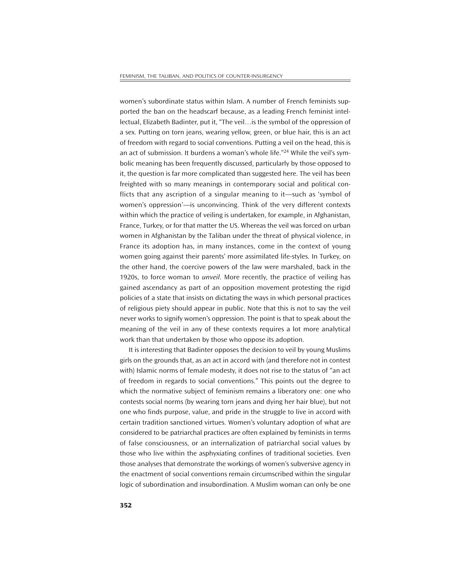women's subordinate status within Islam. A number of French feminists supported the ban on the headscarf because, as a leading French feminist intellectual, Elizabeth Badinter, put it, "The veil…is the symbol of the oppression of a sex. Putting on torn jeans, wearing yellow, green, or blue hair, this is an act of freedom with regard to social conventions. Putting a veil on the head, this is an act of submission. It burdens a woman's whole life."24 While the veil's symbolic meaning has been frequently discussed, particularly by those opposed to it, the question is far more complicated than suggested here. The veil has been freighted with so many meanings in contemporary social and political conflicts that any ascription of a singular meaning to it—such as 'symbol of women's oppression'—is unconvincing. Think of the very different contexts within which the practice of veiling is undertaken, for example, in Afghanistan, France, Turkey, or for that matter the US. Whereas the veil was forced on urban women in Afghanistan by the Taliban under the threat of physical violence, in France its adoption has, in many instances, come in the context of young women going against their parents' more assimilated life-styles. In Turkey, on the other hand, the coercive powers of the law were marshaled, back in the 1920s, to force woman to unveil. More recently, the practice of veiling has gained ascendancy as part of an opposition movement protesting the rigid policies of a state that insists on dictating the ways in which personal practices of religious piety should appear in public. Note that this is not to say the veil never works to signify women's oppression. The point is that to speak about the meaning of the veil in any of these contexts requires a lot more analytical work than that undertaken by those who oppose its adoption.

It is interesting that Badinter opposes the decision to veil by young Muslims girls on the grounds that, as an act in accord with (and therefore not in contest with) Islamic norms of female modesty, it does not rise to the status of "an act of freedom in regards to social conventions." This points out the degree to which the normative subject of feminism remains a liberatory one: one who contests social norms (by wearing torn jeans and dying her hair blue), but not one who finds purpose, value, and pride in the struggle to live in accord with certain tradition sanctioned virtues. Women's voluntary adoption of what are considered to be patriarchal practices are often explained by feminists in terms of false consciousness, or an internalization of patriarchal social values by those who live within the asphyxiating confines of traditional societies. Even those analyses that demonstrate the workings of women's subversive agency in the enactment of social conventions remain circumscribed within the singular logic of subordination and insubordination. A Muslim woman can only be one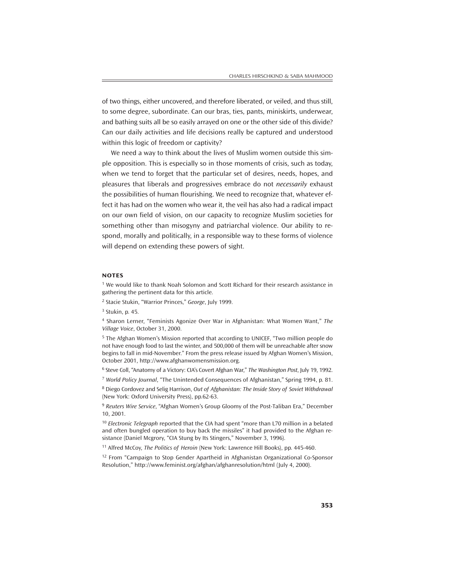of two things, either uncovered, and therefore liberated, or veiled, and thus still, to some degree, subordinate. Can our bras, ties, pants, miniskirts, underwear, and bathing suits all be so easily arrayed on one or the other side of this divide? Can our daily activities and life decisions really be captured and understood within this logic of freedom or captivity?

We need a way to think about the lives of Muslim women outside this simple opposition. This is especially so in those moments of crisis, such as today, when we tend to forget that the particular set of desires, needs, hopes, and pleasures that liberals and progressives embrace do not *necessarily* exhaust the possibilities of human flourishing. We need to recognize that, whatever effect it has had on the women who wear it, the veil has also had a radical impact on our own field of vision, on our capacity to recognize Muslim societies for something other than misogyny and patriarchal violence. Our ability to respond, morally and politically, in a responsible way to these forms of violence will depend on extending these powers of sight.

#### **NOTES**

<sup>1</sup> We would like to thank Noah Solomon and Scott Richard for their research assistance in gathering the pertinent data for this article.

<sup>2</sup> Stacie Stukin, "Warrior Princes," George, July 1999.

<sup>3</sup> Stukin, p. 45.

<sup>4</sup> Sharon Lerner, "Feminists Agonize Over War in Afghanistan: What Women Want," The Village Voice, October 31, 2000.

<sup>5</sup> The Afghan Women's Mission reported that according to UNICEF, "Two million people do not have enough food to last the winter, and 500,000 of them will be unreachable after snow begins to fall in mid-November." From the press release issued by Afghan Women's Mission, October 2001, http://www.afghanwomensmission.org.

<sup>6</sup> Steve Coll, "Anatomy of a Victory: CIA's Covert Afghan War," The Washington Post, July 19, 1992.

<sup>7</sup> World Policy Journal, "The Unintended Consequences of Afghanistan," Spring 1994, p. 81.

<sup>8</sup> Diego Cordovez and Selig Harrison, Out of Afghanistan: The Inside Story of Soviet Withdrawal (New York: Oxford University Press), pp.62-63.

<sup>9</sup> Reuters Wire Service, "Afghan Women's Group Gloomy of the Post-Taliban Era," December 10, 2001.

<sup>10</sup> Electronic Telegraph reported that the CIA had spent "more than L70 million in a belated and often bungled operation to buy back the missiles" it had provided to the Afghan resistance (Daniel Mcgrory, "CIA Stung by Its Stingers," November 3, 1996).

<sup>11</sup> Alfred McCoy, The Politics of Heroin (New York: Lawrence Hill Books), pp. 445-460.

 $12$  From "Campaign to Stop Gender Apartheid in Afghanistan Organizational Co-Sponsor Resolution," http://www.feminist.org/afghan/afghanresolution/html (July 4, 2000).